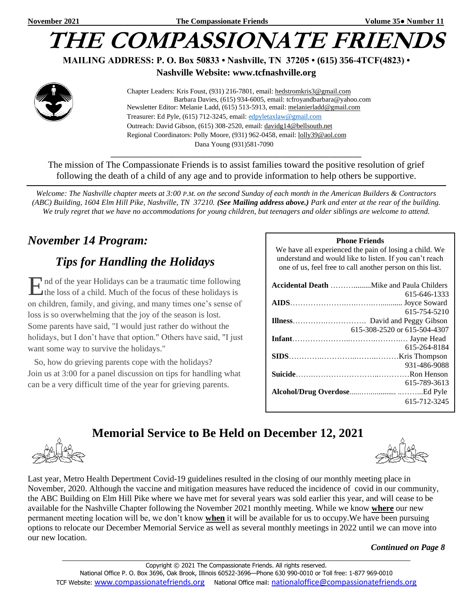## **THE COMPASSIONATE FRIEN**

**MAILING ADDRESS: P. O. Box 50833 • Nashville, TN 37205 • (615) 356-4TCF(4823) •**

**Nashville Website: www.tcfnashville.org**



 Chapter Leaders: Kris Foust, (931) 216-7801, email: [hedstromkris3@gmail.com](mailto:hedstromkris3@gmail.com) Barbara Davies, (615) 934-6005, email: tcfroyandbarbara@yahoo.com Newsletter Editor: Melanie Ladd, (615) 513-5913, email: [melanierladd@gmail.com](mailto:melanierladd@gmail.com)  Treasurer: Ed Pyle, (615) 712-3245, email[: edpyletaxlaw@gmail.com](mailto:edpyletaxlaw@gmail.com) Outreach: David Gibson, (615) 308-2520, email: davidg14@bellsouth.net Regional Coordinators: Polly Moore, (931) 962-0458, email: [lolly39@aol.com](mailto:lolly39@aol.com) Dana Young (931)581-7090

The mission of The Compassionate Friends is to assist families toward the positive resolution of grief following the death of a child of any age and to provide information to help others be supportive.

*\_\_\_\_\_\_\_\_\_\_\_\_\_\_\_\_\_\_\_\_\_\_\_\_\_\_\_\_\_\_\_\_\_\_\_\_\_\_\_\_\_\_\_\_\_\_\_\_\_\_\_\_\_\_\_\_\_\_\_\_\_\_\_\_\_*

*Welcome: The Nashville chapter meets at 3:00 P.M. on the second Sunday of each month in the American Builders & Contractors (ABC) Building, 1604 Elm Hill Pike, Nashville, TN 37210. (See Mailing address above.) Park and enter at the rear of the building. We truly regret that we have no accommodations for young children, but teenagers and older siblings are welcome to attend.*

## *November 14 Program:*

## *Tips for Handling the Holidays*

Ind of the year Holidays can be a traumatic time following<br>the loss of a child. Much of the focus of these holidays is The loss of a child. Much of the focus of these holidays is on children, family, and giving, and many times one's sense of loss is so overwhelming that the joy of the season is lost. Some parents have said, "I would just rather do without the holidays, but I don't have that option." Others have said, "I just want some way to survive the holidays."

 So, how do grieving parents cope with the holidays? Join us at 3:00 for a panel discussion on tips for handling what can be a very difficult time of the year for grieving parents.

#### **Phone Friends**

We have all experienced the pain of losing a child. We understand and would like to listen. If you can't reach one of us, feel free to call another person on this list.

| 615-646-1333                 |
|------------------------------|
|                              |
| 615-754-5210                 |
|                              |
| 615-308-2520 or 615-504-4307 |
|                              |
| 615-264-8184                 |
|                              |
| 931-486-9088                 |
|                              |
| 615-789-3613                 |
|                              |
| 615-712-3245                 |
|                              |

## **Memorial Service to Be Held on December 12, 2021**

| ـ |
|---|
|   |

Last year, Metro Health Depertment Covid-19 guidelines resulted in the closing of our monthly meeting place in November, 2020. Although the vaccine and mitigation measures have reduced the incidence of covid in our community, the ABC Building on Elm Hill Pike where we have met for several years was sold earlier this year, and will cease to be available for the Nashville Chapter following the November 2021 monthly meeting. While we know **where** our new permanent meeting location will be, we don't know **when** it will be available for us to occupy.We have been pursuing options to relocate our December Memorial Service as well as several monthly meetings in 2022 until we can move into our new location.

*Continued on Page 8*

\_\_\_\_\_\_\_\_\_\_\_\_\_\_\_\_\_\_\_\_\_\_\_\_\_\_\_\_\_\_\_\_\_\_\_\_\_\_\_\_\_\_\_\_\_\_\_\_\_\_\_\_\_\_\_\_\_\_\_\_\_\_\_\_\_\_\_\_\_\_\_\_\_\_\_\_\_\_\_\_\_\_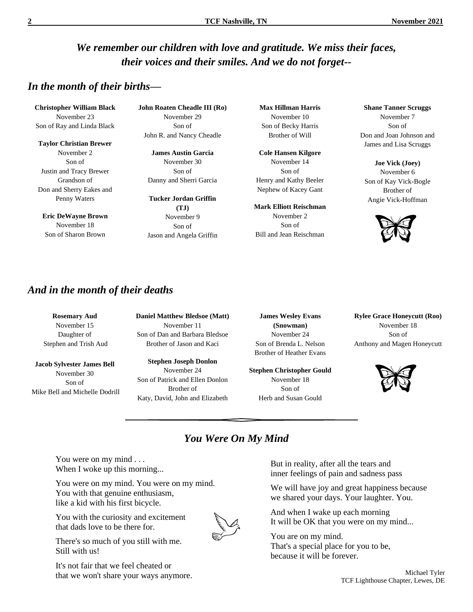## *We remember our children with love and gratitude. We miss their faces, their voices and their smiles. And we do not forget--*

#### *In the month of their births—*

**Christopher William Black** November 23 Son of Ray and Linda Black

**Taylor Christian Brewer** November 2 Son of Justin and Tracy Brewer Grandson of Don and Sherry Eakes and Penny Waters

**Eric DeWayne Brown** November 18 Son of Sharon Brown

**John Roaten Cheadle III (Ro)** November 29 Son of John R. and Nancy Cheadle

> **James Austin Garcia** November 30 Son of Danny and Sherri Garcia

**Tucker Jordan Griffin (TJ)** November 9 Son of Jason and Angela Griffin **Max Hillman Harris** November 10 Son of Becky Harris Brother of Will

**Cole Hansen Kilgore** November 14 Son of Henry and Kathy Beeler Nephew of Kacey Gant

**Mark Elliott Reischman** November 2 Son of Bill and Jean Reischman

**Shane Tanner Scruggs** November 7 Son of Don and Joan Johnson and James and Lisa Scruggs

**Joe Vick (Joey)** November 6 Son of Kay Vick-Bogle Brother of Angie Vick-Hoffman



## *And in the month of their deaths*

**Rosemary Aud** November 15 Daughter of Stephen and Trish Aud

**Jacob Sylvester James Bell** November 30 Son of Mike Bell and Michelle Dodrill **Daniel Matthew Bledsoe (Matt)** November 11 Son of Dan and Barbara Bledsoe Brother of Jason and Kaci

**Stephen Joseph Donlon** November 24 Son of Patrick and Ellen Donlon Brother of Katy, David, John and Elizabeth

**James Wesley Evans (Snowman)** November 24 Son of Brenda L. Nelson Brother of Heather Evans

**Stephen Christopher Gould** November 18 Son of Herb and Susan Gould

**Rylee Grace Honeycutt (Roo)** November 18 Son of Anthony and Magen Honeycutt



## *You Were On My Mind*

You were on my mind . . . When I woke up this morning...

You were on my mind. You were on my mind. You with that genuine enthusiasm, like a kid with his first bicycle.

You with the curiosity and excitement that dads love to be there for.

There's so much of you still with me. Still with us!

It's not fair that we feel cheated or that we won't share your ways anymore. But in reality, after all the tears and inner feelings of pain and sadness pass

We will have joy and great happiness because we shared your days. Your laughter. You.

And when I wake up each morning It will be OK that you were on my mind...

You are on my mind. That's a special place for you to be, because it will be forever.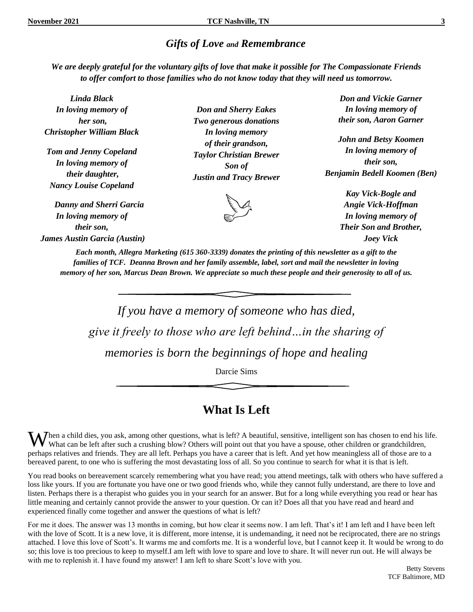#### *Gifts of Love and Remembrance*

*We are deeply grateful for the voluntary gifts of love that make it possible for The Compassionate Friends to offer comfort to those families who do not know today that they will need us tomorrow.*

*Linda Black In loving memory of her son, Christopher William Black* 

*Tom and Jenny Copeland In loving memory of their daughter, Nancy Louise Copeland*

 *Danny and Sherri Garcia In loving memory of their son, James Austin Garcia (Austin)*

*Don and Sherry Eakes Two generous donations In loving memory of their grandson, Taylor Christian Brewer Son of Justin and Tracy Brewer*



*Don and Vickie Garner In loving memory of their son, Aaron Garner*

*John and Betsy Koomen In loving memory of their son, Benjamin Bedell Koomen (Ben)*

> *Kay Vick-Bogle and Angie Vick-Hoffman In loving memory of Their Son and Brother, Joey Vick*

*Each month, Allegra Marketing (615 360-3339) donates the printing of this newsletter as a gift to the families of TCF. Deanna Brown and her family assemble, label, sort and mail the newsletter in loving memory of her son, Marcus Dean Brown. We appreciate so much these people and their generosity to all of us.*

*If you have a memory of someone who has died, give it freely to those who are left behind…in the sharing of memories is born the beginnings of hope and healing*

Darcie Sims

## **What Is Left**

When a child dies, you ask, among other questions, what is left? A beautiful, sensitive, intelligent son has chosen to end his life.<br>What can be left after such a crushing blow? Others will point out that you have a spouse What can be left after such a crushing blow? Others will point out that you have a spouse, other children or grandchildren, perhaps relatives and friends. They are all left. Perhaps you have a career that is left. And yet how meaningless all of those are to a bereaved parent, to one who is suffering the most devastating loss of all. So you continue to search for what it is that is left.

You read books on bereavement scarcely remembering what you have read; you attend meetings, talk with others who have suffered a loss like yours. If you are fortunate you have one or two good friends who, while they cannot fully understand, are there to love and listen. Perhaps there is a therapist who guides you in your search for an answer. But for a long while everything you read or hear has little meaning and certainly cannot provide the answer to your question. Or can it? Does all that you have read and heard and experienced finally come together and answer the questions of what is left?

For me it does. The answer was 13 months in coming, but how clear it seems now. I am left. That's it! I am left and I have been left with the love of Scott. It is a new love, it is different, more intense, it is undemanding, it need not be reciprocated, there are no strings attached. I love this love of Scott's. It warms me and comforts me. It is a wonderful love, but I cannot keep it. It would be wrong to do so; this love is too precious to keep to myself.I am left with love to spare and love to share. It will never run out. He will always be with me to replenish it. I have found my answer! I am left to share Scott's love with you.

> Betty Stevens TCF Baltimore, MD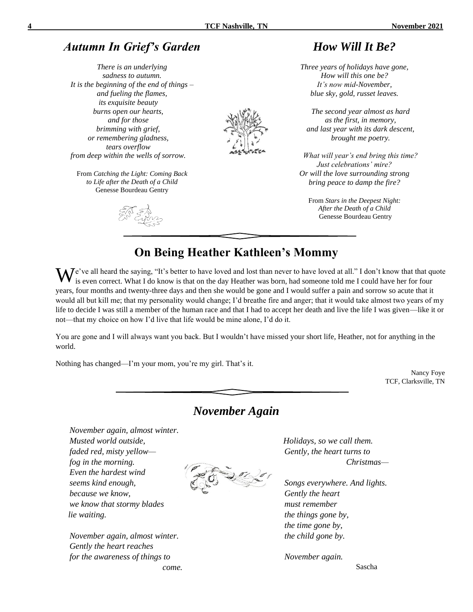## *Autumn In Grief's Garden*

*There is an underlying sadness to autumn. It is the beginning of the end of things – and fueling the flames, its exquisite beauty burns open our hearts, and for those brimming with grief, or remembering gladness, tears overflow from deep within the wells of sorrow.*

From *Catching the Light: Coming Back to Life after the Death of a Child* Genesse Bourdeau Gentry



#### *How Will It Be?*

*Three years of holidays have gone, How will this one be? It's now mid-November, blue sky, gold, russet leaves.*

*The second year almost as hard as the first, in memory, and last year with its dark descent, brought me poetry.*

*What will year's end bring this time? Just celebrations' mire? Or will the love surrounding strong bring peace to damp the fire?*

From *Stars in the Deepest Night: After the Death of a Child* Genesse Bourdeau Gentry

## **On Being Heather Kathleen's Mommy**

 $\mathbf{W}$  e've all heard the saying, "It's better to have loved and lost than never to have loved at all." I don't know that that quote is even correct. What I do know is that on the day Heather was born, had someone told is even correct. What I do know is that on the day Heather was born, had someone told me I could have her for four years, four months and twenty-three days and then she would be gone and I would suffer a pain and sorrow so acute that it would all but kill me; that my personality would change; I'd breathe fire and anger; that it would take almost two years of my life to decide I was still a member of the human race and that I had to accept her death and live the life I was given—like it or not—that my choice on how I'd live that life would be mine alone, I'd do it.

You are gone and I will always want you back. But I wouldn't have missed your short life, Heather, not for anything in the world.

Nothing has changed—I'm your mom, you're my girl. That's it.

Nancy Foye TCF, Clarksville, TN

## *November Again*

*November again, almost winter. Musted world outside, faded red, misty yellow fog in the morning. Even the hardest wind seems kind enough, because we know, we know that stormy blades lie waiting.* 



*November again, almost winter. Gently the heart reaches for the awareness of things to come.*  *Holidays, so we call them. Gently, the heart turns to Christmas—*

*Songs everywhere. And lights. Gently the heart must remember the things gone by, the time gone by, the child gone by.* 

*November again.* 

Sascha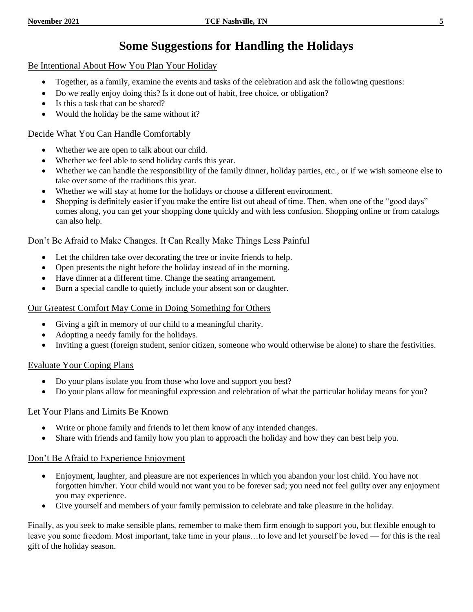## **Some Suggestions for Handling the Holidays**

#### Be Intentional About How You Plan Your Holiday

- Together, as a family, examine the events and tasks of the celebration and ask the following questions:
- Do we really enjoy doing this? Is it done out of habit, free choice, or obligation?
- Is this a task that can be shared?
- Would the holiday be the same without it?

#### Decide What You Can Handle Comfortably

- Whether we are open to talk about our child.
- Whether we feel able to send holiday cards this year.
- Whether we can handle the responsibility of the family dinner, holiday parties, etc., or if we wish someone else to take over some of the traditions this year.
- Whether we will stay at home for the holidays or choose a different environment.
- Shopping is definitely easier if you make the entire list out ahead of time. Then, when one of the "good days" comes along, you can get your shopping done quickly and with less confusion. Shopping online or from catalogs can also help.

#### Don't Be Afraid to Make Changes. It Can Really Make Things Less Painful

- Let the children take over decorating the tree or invite friends to help.
- Open presents the night before the holiday instead of in the morning.
- Have dinner at a different time. Change the seating arrangement.
- Burn a special candle to quietly include your absent son or daughter.

#### Our Greatest Comfort May Come in Doing Something for Others

- Giving a gift in memory of our child to a meaningful charity.
- Adopting a needy family for the holidays.
- Inviting a guest (foreign student, senior citizen, someone who would otherwise be alone) to share the festivities.

#### Evaluate Your Coping Plans

- Do your plans isolate you from those who love and support you best?
- Do your plans allow for meaningful expression and celebration of what the particular holiday means for you?

#### Let Your Plans and Limits Be Known

- Write or phone family and friends to let them know of any intended changes.
- Share with friends and family how you plan to approach the holiday and how they can best help you.

#### Don't Be Afraid to Experience Enjoyment

- Enjoyment, laughter, and pleasure are not experiences in which you abandon your lost child. You have not forgotten him/her. Your child would not want you to be forever sad; you need not feel guilty over any enjoyment you may experience.
- Give yourself and members of your family permission to celebrate and take pleasure in the holiday.

Finally, as you seek to make sensible plans, remember to make them firm enough to support you, but flexible enough to leave you some freedom. Most important, take time in your plans…to love and let yourself be loved — for this is the real gift of the holiday season.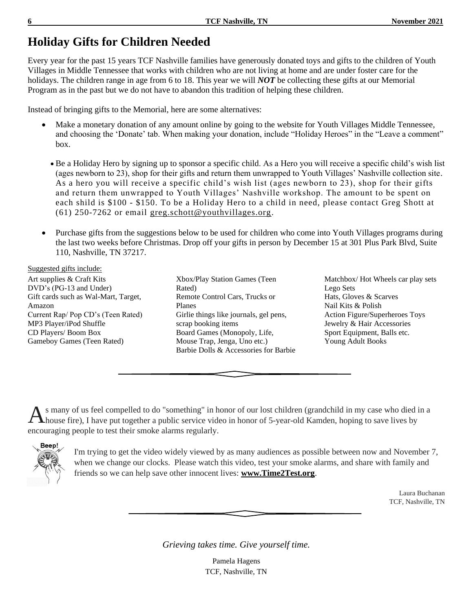## **Holiday Gifts for Children Needed**

Every year for the past 15 years TCF Nashville families have generously donated toys and gifts to the children of Youth Villages in Middle Tennessee that works with children who are not living at home and are under foster care for the holidays. The children range in age from 6 to 18. This year we will *NOT* be collecting these gifts at our Memorial Program as in the past but we do not have to abandon this tradition of helping these children.

Instead of bringing gifts to the Memorial, here are some alternatives:

- Make a monetary donation of any amount online by going to the website for Youth Villages Middle Tennessee, and choosing the 'Donate' tab. When making your donation, include "Holiday Heroes" in the "Leave a comment" box.
	- Be a Holiday Hero by signing up to sponsor a specific child. As a Hero you will receive a specific child's wish list (ages newborn to 23), shop for their gifts and return them unwrapped to Youth Villages' Nashville collection site. As a hero you will receive a specific child's wish list (ages newborn to 23), shop for their gifts and return them unwrapped to Youth Villages' Nashville workshop. The amount to be spent on each shild is \$100 - \$150. To be a Holiday Hero to a child in need, please contact Greg Shott at (61) 250-7262 or email [greg.schott@youthvillages.org.](mailto:greg.schott@youthvillages.org)
- Purchase gifts from the suggestions below to be used for children who come into Youth Villages programs during the last two weeks before Christmas. Drop off your gifts in person by December 15 at 301 Plus Park Blvd, Suite 110, Nashville, TN 37217.

#### Suggested gifts include:

Art supplies & Craft Kits DVD's (PG-13 and Under) Gift cards such as Wal-Mart, Target, Amazon Current Rap/ Pop CD's (Teen Rated) MP3 Player/iPod Shuffle CD Players/ Boom Box Gameboy Games (Teen Rated)

Xbox/Play Station Games (Teen Rated) Remote Control Cars, Trucks or Planes Girlie things like journals, gel pens, scrap booking items Board Games (Monopoly, Life, Mouse Trap, Jenga, Uno etc.) Barbie Dolls & Accessories for Barbie

Matchbox/ Hot Wheels car play sets Lego Sets Hats, Gloves & Scarves Nail Kits & Polish Action Figure/Superheroes Toys Jewelry & Hair Accessories Sport Equipment, Balls etc. Young Adult Books

s many of us feel compelled to do "something" in honor of our lost children (grandchild in my case who died in a As many of us feel compelled to do "something" in honor of our lost children (grandchild in my case who died in house fire), I have put together a public service video in honor of 5-year-old Kamden, hoping to save lives by encouraging people to test their smoke alarms regularly.



I'm trying to get the video widely viewed by as many audiences as possible between now and November 7, when we change our clocks. Please watch this video, test your smoke alarms, and share with family and friends so we can help save other innocent lives: **[www.Time2Test.org](http://www.time2test.org/)**.

> Laura Buchanan TCF, Nashville, TN

*Grieving takes time. Give yourself time.*

Pamela Hagens TCF, Nashville, TN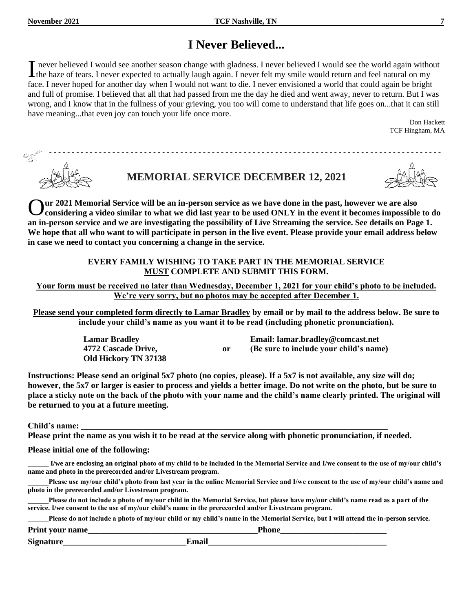## **I Never Believed...**

never believed I would see another season change with gladness. I never believed I would see the world again without I never believed I would see another season change with gladness. I never believed I would see the world again withouth the haze of tears. I never expected to actually laugh again. I never felt my smile would return and fe face. I never hoped for another day when I would not want to die. I never envisioned a world that could again be bright and full of promise. I believed that all that had passed from me the day he died and went away, never to return. But I was wrong, and I know that in the fullness of your grieving, you too will come to understand that life goes on...that it can still have meaning...that even joy can touch your life once more.

Don Hackett TCF Hingham, MA



## **MEMORIAL SERVICE DECEMBER 12, 2021**

- - - - - - - - - - - - - - - - - - - - - - - - - - - - - - - - - - - - - - - - - - - - - - - - - - - - - - - - - - - - - - - - - - - - - - - - - - - - - - - - - - - - - - -



**ur 2021 Memorial Service will be an in-person service as we have done in the past, however we are also considering a video similar to what we did last year to be used ONLY in the event it becomes impossible to do an in-person service and we are investigating the possibility of Live Streaming the service. See details on Page 1. We hope that all who want to will participate in person in the live event. Please provide your email address below in case we need to contact you concerning a change in the service.**  O

#### **EVERY FAMILY WISHING TO TAKE PART IN THE MEMORIAL SERVICE MUST COMPLETE AND SUBMIT THIS FORM.**

**Your form must be received no later than Wednesday, December 1, 2021 for your child's photo to be included. We're very sorry, but no photos may be accepted after December 1.**

**Please send your completed form directly to Lamar Bradley by email or by mail to the address below. Be sure to include your child's name as you want it to be read (including phonetic pronunciation).**

**Old Hickory TN 37138** 

**Lamar Bradley Email: lamar.bradley@comcast.net 4772 Cascade Drive, or (Be sure to include your child's name)**

**Instructions: Please send an original 5x7 photo (no copies, please). If a 5x7 is not available, any size will do; however, the 5x7 or larger is easier to process and yields a better image. Do not write on the photo, but be sure to place a sticky note on the back of the photo with your name and the child's name clearly printed. The original will be returned to you at a future meeting.** 

**Child's name: \_\_\_\_\_\_\_\_\_\_\_\_\_\_\_\_\_\_\_\_\_\_\_\_\_\_\_\_\_\_\_\_\_\_\_\_\_\_\_\_\_\_\_\_\_\_\_\_\_\_\_\_\_\_\_\_\_\_\_\_\_\_\_\_\_\_\_\_\_** 

**Please print the name as you wish it to be read at the service along with phonetic pronunciation, if needed.** 

#### **Please initial one of the following:**

I/we are enclosing an original photo of my child to be included in the Memorial Service and I/we consent to the use of my/our child's **name and photo in the prerecorded and/or Livestream program.** 

Please use my/our child's photo from last year in the online Memorial Service and I/we consent to the use of my/our child's name and **photo in the prerecorded and/or Livestream program.**

Please do not include a photo of my/our child in the Memorial Service, but please have my/our child's name read as a part of the **service. I/we consent to the use of my/our child's name in the prerecorded and/or Livestream program.** 

**\_\_\_\_\_\_Please do not include a photo of my/our child or my child's name in the Memorial Service, but I will attend the in-person service.**

#### **Print your name and the set of the set of the set of the set of the set of the set of the set of the set of the set of the set of the set of the set of the set of the set of the set of the set of the set of the set of the**

**Signature\_\_\_\_\_\_\_\_\_\_\_\_\_\_\_\_\_\_\_\_\_\_\_\_\_\_\_\_\_Email\_\_\_\_\_\_\_\_\_\_\_\_\_\_\_\_\_\_\_\_\_\_\_\_\_\_\_\_\_\_\_\_\_\_\_\_\_\_\_\_\_\_**